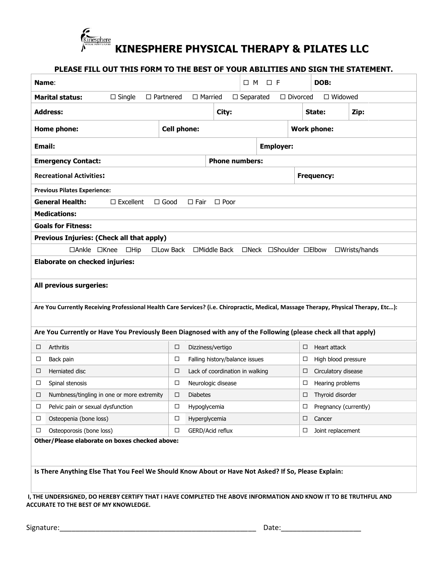

| <b>Name:</b>                                                                                                                                                                                                             |                  |                                     |                                   |                                 | $\Box$ M | $\square$ F                              |                |                    | DOB:                        |  |                        |  |
|--------------------------------------------------------------------------------------------------------------------------------------------------------------------------------------------------------------------------|------------------|-------------------------------------|-----------------------------------|---------------------------------|----------|------------------------------------------|----------------|--------------------|-----------------------------|--|------------------------|--|
| <b>Marital status:</b>                                                                                                                                                                                                   | $\Box$ Married   | $\Box$ Separated<br>$\Box$ Divorced |                                   |                                 |          |                                          | $\Box$ Widowed |                    |                             |  |                        |  |
| <b>Address:</b>                                                                                                                                                                                                          |                  |                                     |                                   | City:                           |          |                                          |                |                    | Zip:<br>State:              |  |                        |  |
| <b>Cell phone:</b><br>Home phone:                                                                                                                                                                                        |                  |                                     |                                   |                                 |          |                                          |                | <b>Work phone:</b> |                             |  |                        |  |
| Email:                                                                                                                                                                                                                   |                  |                                     |                                   |                                 |          | <b>Employer:</b>                         |                |                    |                             |  |                        |  |
| <b>Emergency Contact:</b>                                                                                                                                                                                                |                  |                                     |                                   | <b>Phone numbers:</b>           |          |                                          |                |                    |                             |  |                        |  |
| <b>Recreational Activities:</b>                                                                                                                                                                                          |                  |                                     |                                   |                                 |          |                                          |                | <b>Frequency:</b>  |                             |  |                        |  |
| <b>Previous Pilates Experience:</b>                                                                                                                                                                                      |                  |                                     |                                   |                                 |          |                                          |                |                    |                             |  |                        |  |
| <b>General Health:</b>                                                                                                                                                                                                   | $\Box$ Excellent | $\Box$ Good                         | $\Box$ Fair                       | $\Box$ Poor                     |          |                                          |                |                    |                             |  |                        |  |
| <b>Medications:</b>                                                                                                                                                                                                      |                  |                                     |                                   |                                 |          |                                          |                |                    |                             |  |                        |  |
| <b>Goals for Fitness:</b>                                                                                                                                                                                                |                  |                                     |                                   |                                 |          |                                          |                |                    |                             |  |                        |  |
|                                                                                                                                                                                                                          |                  |                                     |                                   |                                 |          |                                          |                |                    |                             |  |                        |  |
| Previous Injuries: (Check all that apply)                                                                                                                                                                                |                  |                                     |                                   |                                 |          |                                          |                |                    |                             |  |                        |  |
| □Ankle □Knee<br><b>Elaborate on checked injuries:</b><br>All previous surgeries:<br>Are You Currently Receiving Professional Health Care Services? (i.e. Chiropractic, Medical, Massage Therapy, Physical Therapy, Etc): | $\Box$ Hip       | $\square$ Low Back                  |                                   | $\Box$ Middle Back              |          | $\Box$ Neck $\Box$ Shoulder $\Box$ Elbow |                |                    |                             |  | $\square$ Wrists/hands |  |
|                                                                                                                                                                                                                          |                  |                                     |                                   |                                 |          |                                          |                |                    |                             |  |                        |  |
| Are You Currently or Have You Previously Been Diagnosed with any of the Following (please check all that apply)                                                                                                          |                  |                                     |                                   |                                 |          |                                          |                |                    |                             |  |                        |  |
| $\Box$<br>Arthritis                                                                                                                                                                                                      |                  | $\Box$                              | Dizziness/vertigo                 |                                 |          |                                          |                | □                  | Heart attack                |  |                        |  |
| $\Box$<br>Back pain                                                                                                                                                                                                      |                  | $\Box$                              |                                   | Falling history/balance issues  |          |                                          |                | □                  | High blood pressure         |  |                        |  |
| Herniated disc<br>□                                                                                                                                                                                                      |                  | $\Box$                              |                                   | Lack of coordination in walking |          |                                          |                | □                  | Circulatory disease         |  |                        |  |
| □<br>Spinal stenosis                                                                                                                                                                                                     |                  | □                                   | Neurologic disease                |                                 |          |                                          |                | □                  | Hearing problems            |  |                        |  |
| Numbness/tingling in one or more extremity<br>□                                                                                                                                                                          |                  | $\Box$                              | <b>Diabetes</b>                   |                                 |          |                                          |                | $\Box$             | Thyroid disorder            |  |                        |  |
| Pelvic pain or sexual dysfunction<br>□                                                                                                                                                                                   |                  | □                                   | Hypoglycemia                      |                                 |          |                                          |                | □                  | Pregnancy (currently)       |  |                        |  |
| $\Box$<br>Osteopenia (bone loss)<br>Osteoporosis (bone loss)<br>$\Box$                                                                                                                                                   |                  | $\Box$<br>$\Box$                    | Hyperglycemia<br>GERD/Acid reflux |                                 |          |                                          |                | □<br>□             | Cancer<br>Joint replacement |  |                        |  |